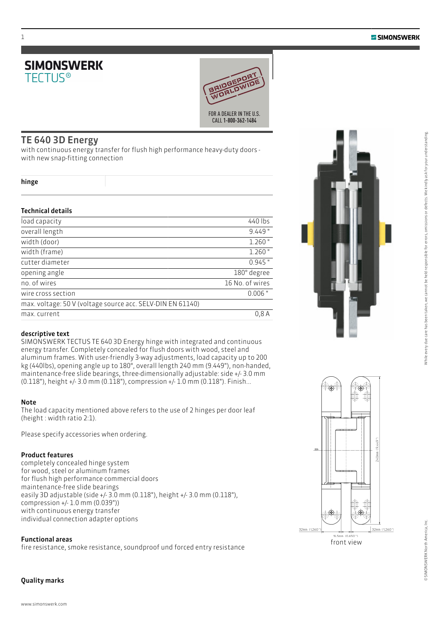



# TE 640 3D Energy

with continuous energy transfer for flush high performance heavy-duty doors with new snap-fitting connection

#### hinge

## Technical details

| load capacity                                              | 440 lbs         |
|------------------------------------------------------------|-----------------|
| overall length                                             | $9.449$ "       |
| width (door)                                               | $1.260$ "       |
| width (frame)                                              | $1.260$ "       |
| cutter diameter                                            | $0.945$ "       |
| opening angle                                              | 180° degree     |
| no. of wires                                               | 16 No. of wires |
| wire cross section                                         | $0.006$ "       |
| max. voltage: 50 V (voltage source acc. SELV-DIN EN 61140) |                 |
| max. current                                               | 0.8A            |

## descriptive text

SIMONSWERK TECTUS TE 640 3D Energy hinge with integrated and continuous energy transfer. Completely concealed for flush doors with wood, steel and aluminum frames. With user-friendly 3-way adjustments, load capacity up to 200 kg (440lbs), opening angle up to 180°, overall length 240 mm (9.449"), non-handed, maintenance-free slide bearings, three-dimensionally adjustable: side +/- 3.0 mm (0.118"), height +/- 3.0 mm (0.118"), compression +/- 1.0 mm (0.118"). Finish...

### Note

The load capacity mentioned above refers to the use of 2 hinges per door leaf (height : width ratio 2:1).

Please specify accessories when ordering.

## Product features

completely concealed hinge system for wood, steel or aluminum frames for flush high performance commercial doors maintenance-free slide bearings easily 3D adjustable (side +/- 3.0 mm (0.118"), height +/- 3.0 mm (0.118"), compression +/- 1.0 mm (0.039")) with continuous energy transfer individual connection adapter options

### Functional areas

fire resistance, smoke resistance, soundproof und forced entry resistance